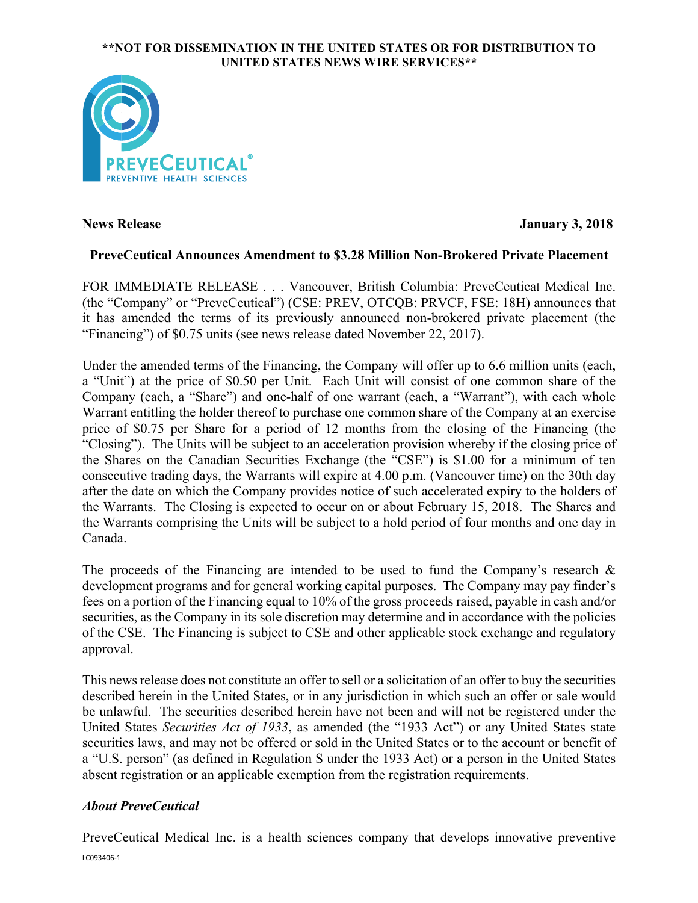### **\*\*NOT FOR DISSEMINATION IN THE UNITED STATES OR FOR DISTRIBUTION TO UNITED STATES NEWS WIRE SERVICES\*\***



**News Release January 3, 2018**

# **PreveCeutical Announces Amendment to \$3.28 Million Non-Brokered Private Placement**

FOR IMMEDIATE RELEASE . . . Vancouver, British Columbia: PreveCeutical Medical Inc. (the "Company" or "PreveCeutical") (CSE: PREV, OTCQB: PRVCF, FSE: 18H) announces that it has amended the terms of its previously announced non-brokered private placement (the "Financing") of \$0.75 units (see news release dated November 22, 2017).

Under the amended terms of the Financing, the Company will offer up to 6.6 million units (each, a "Unit") at the price of \$0.50 per Unit. Each Unit will consist of one common share of the Company (each, a "Share") and one-half of one warrant (each, a "Warrant"), with each whole Warrant entitling the holder thereof to purchase one common share of the Company at an exercise price of \$0.75 per Share for a period of 12 months from the closing of the Financing (the "Closing"). The Units will be subject to an acceleration provision whereby if the closing price of the Shares on the Canadian Securities Exchange (the "CSE") is \$1.00 for a minimum of ten consecutive trading days, the Warrants will expire at 4.00 p.m. (Vancouver time) on the 30th day after the date on which the Company provides notice of such accelerated expiry to the holders of the Warrants. The Closing is expected to occur on or about February 15, 2018. The Shares and the Warrants comprising the Units will be subject to a hold period of four months and one day in Canada.

The proceeds of the Financing are intended to be used to fund the Company's research  $\&$ development programs and for general working capital purposes. The Company may pay finder's fees on a portion of the Financing equal to 10% of the gross proceeds raised, payable in cash and/or securities, as the Company in its sole discretion may determine and in accordance with the policies of the CSE. The Financing is subject to CSE and other applicable stock exchange and regulatory approval.

This newsrelease does not constitute an offer to sell or a solicitation of an offer to buy the securities described herein in the United States, or in any jurisdiction in which such an offer or sale would be unlawful. The securities described herein have not been and will not be registered under the United States *Securities Act of 1933*, as amended (the "1933 Act") or any United States state securities laws, and may not be offered or sold in the United States or to the account or benefit of a "U.S. person" (as defined in Regulation S under the 1933 Act) or a person in the United States absent registration or an applicable exemption from the registration requirements.

# *About PreveCeutical*

LC093406-1 PreveCeutical Medical Inc. is a health sciences company that develops innovative preventive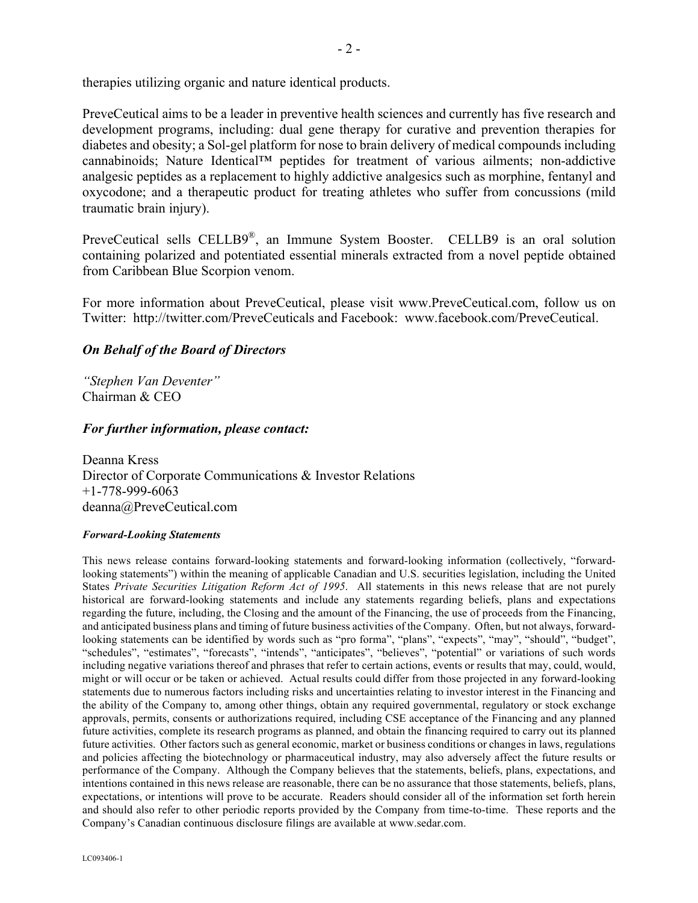therapies utilizing organic and nature identical products.

PreveCeutical aims to be a leader in preventive health sciences and currently has five research and development programs, including: dual gene therapy for curative and prevention therapies for diabetes and obesity; a Sol-gel platform for nose to brain delivery of medical compounds including cannabinoids; Nature Identical™ peptides for treatment of various ailments; non-addictive analgesic peptides as a replacement to highly addictive analgesics such as morphine, fentanyl and oxycodone; and a therapeutic product for treating athletes who suffer from concussions (mild traumatic brain injury).

PreveCeutical sells CELLB9®, an Immune System Booster. CELLB9 is an oral solution containing polarized and potentiated essential minerals extracted from a novel peptide obtained from Caribbean Blue Scorpion venom.

For more information about PreveCeutical, please visit www.PreveCeutical.com, follow us on Twitter: http://twitter.com/PreveCeuticals and Facebook: www.facebook.com/PreveCeutical.

## *On Behalf of the Board of Directors*

*"Stephen Van Deventer"* Chairman & CEO

### *For further information, please contact:*

Deanna Kress Director of Corporate Communications & Investor Relations +1-778-999-6063 deanna@PreveCeutical.com

#### *Forward-Looking Statements*

This news release contains forward-looking statements and forward-looking information (collectively, "forwardlooking statements") within the meaning of applicable Canadian and U.S. securities legislation, including the United States *Private Securities Litigation Reform Act of 1995*. All statements in this news release that are not purely historical are forward-looking statements and include any statements regarding beliefs, plans and expectations regarding the future, including, the Closing and the amount of the Financing, the use of proceeds from the Financing, and anticipated business plans and timing of future business activities of the Company. Often, but not always, forwardlooking statements can be identified by words such as "pro forma", "plans", "expects", "may", "should", "budget", "schedules", "estimates", "forecasts", "intends", "anticipates", "believes", "potential" or variations of such words including negative variations thereof and phrases that refer to certain actions, events or results that may, could, would, might or will occur or be taken or achieved. Actual results could differ from those projected in any forward-looking statements due to numerous factors including risks and uncertainties relating to investor interest in the Financing and the ability of the Company to, among other things, obtain any required governmental, regulatory or stock exchange approvals, permits, consents or authorizations required, including CSE acceptance of the Financing and any planned future activities, complete its research programs as planned, and obtain the financing required to carry out its planned future activities. Other factors such as general economic, market or business conditions or changes in laws, regulations and policies affecting the biotechnology or pharmaceutical industry, may also adversely affect the future results or performance of the Company. Although the Company believes that the statements, beliefs, plans, expectations, and intentions contained in this news release are reasonable, there can be no assurance that those statements, beliefs, plans, expectations, or intentions will prove to be accurate. Readers should consider all of the information set forth herein and should also refer to other periodic reports provided by the Company from time-to-time. These reports and the Company's Canadian continuous disclosure filings are available at www.sedar.com.